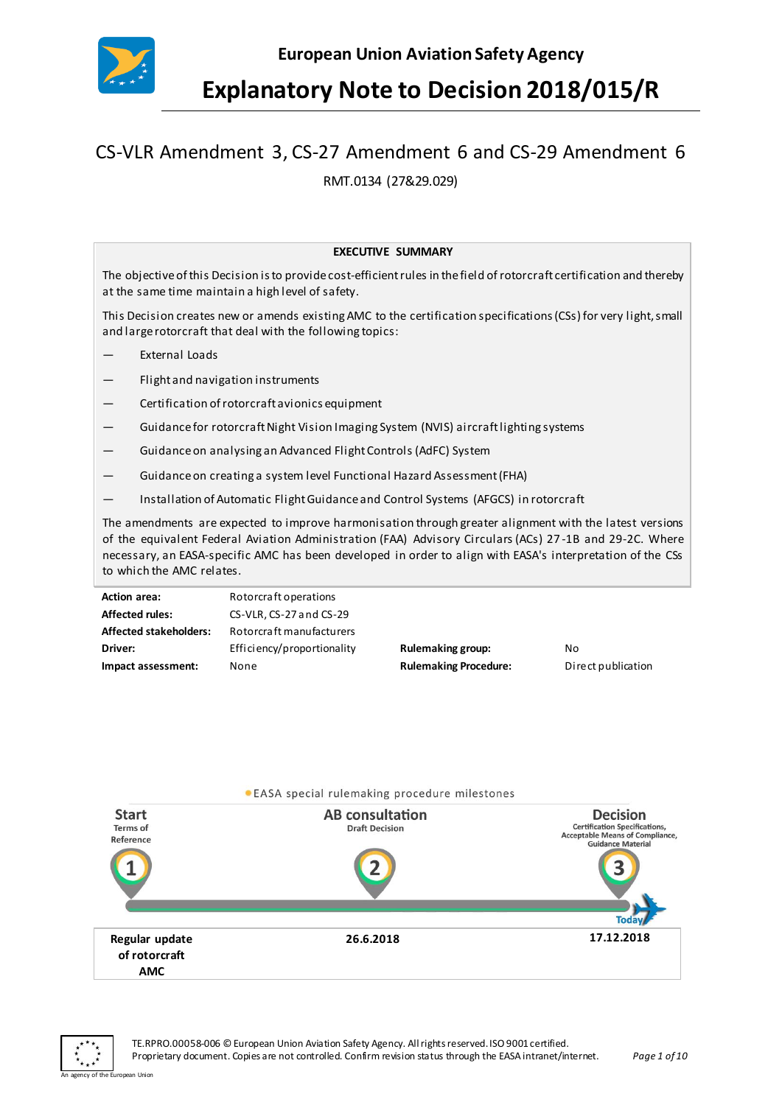

## **Explanatory Note to Decision 2018/015/R**

# CS-VLR Amendment 3, CS-27 Amendment 6 and CS-29 Amendment 6

RMT.0134 (27&29.029)

#### **EXECUTIVE SUMMARY**

The objective of this Decision is to provide cost-efficient rules in the field of rotorcraft certification and thereby at the same time maintain a high level of safety.

This Decision creates new or amends existing AMC to the certification specifications (CSs) for very light, small and large rotorcraft that deal with the following topics:

- External Loads
- Flight and navigation instruments
- Certification of rotorcraft avionics equipment
- Guidance for rotorcraft Night Vision Imaging System (NVIS) aircraft lighting systems
- Guidance on analysing an Advanced Flight Controls (AdFC) System
- Guidance on creating a system level Functional Hazard Assessment (FHA)
- Installation of Automatic Flight Guidance and Control Systems (AFGCS) in rotorcraft

The amendments are expected to improve harmonisation through greater alignment with the latest versions of the equivalent Federal Aviation Administration (FAA) Advisory Circulars (ACs) 27 -1B and 29-2C. Where necessary, an EASA-specific AMC has been developed in order to align with EASA's interpretation of the CSs to which the AMC relates.

| <b>Action area:</b>           | Rotorcraft operations      |                              |                    |
|-------------------------------|----------------------------|------------------------------|--------------------|
| <b>Affected rules:</b>        | CS-VLR, CS-27 and CS-29    |                              |                    |
| <b>Affected stakeholders:</b> | Rotorcraft manufacturers   |                              |                    |
| Driver:                       | Efficiency/proportionality | Rulemaking group:            | No                 |
| Impact assessment:            | None                       | <b>Rulemaking Procedure:</b> | Direct publication |



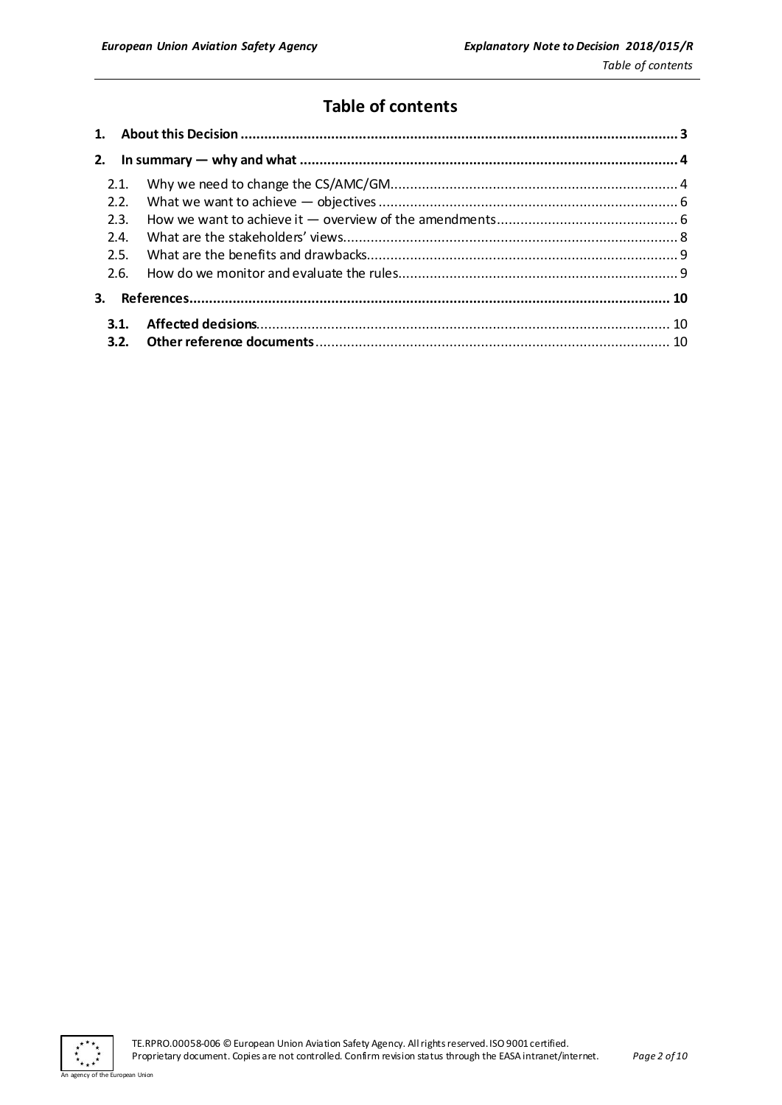## **Table of contents**

| 2.   |  |  |
|------|--|--|
| 2.1. |  |  |
| 2.2. |  |  |
| 2.3. |  |  |
| 2.4  |  |  |
| 2.5. |  |  |
| 2.6. |  |  |
| 3.   |  |  |
| 3.1. |  |  |
|      |  |  |

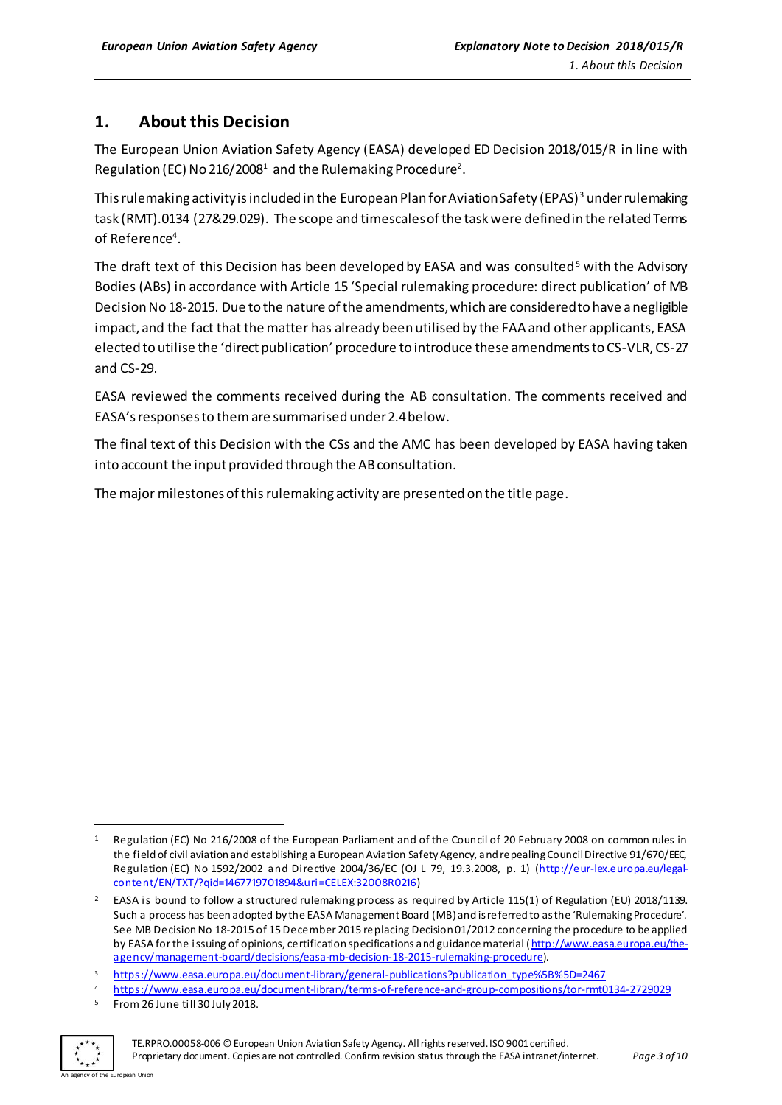## <span id="page-2-0"></span>**1. About this Decision**

The European Union Aviation Safety Agency (EASA) developed ED Decision 2018/015/R in line with Regulation (EC) No 216/2008 $^{\rm 1}$  and the Rulemaking Procedure $^{\rm 2}$ .

This rulemaking activity is included in the European Plan for Aviation Safety (EPAS)<sup>3</sup> under rulemaking task (RMT).0134 (27&29.029). The scope and timescalesof the task were defined in the related Terms of Reference<sup>4</sup>.

The draft text of this Decision has been developed by EASA and was consulted<sup>5</sup> with the Advisory Bodies (ABs) in accordance with Article 15 'Special rulemaking procedure: direct publication' of MB Decision No 18-2015. Due to the nature of the amendments, which are considered to have a negligible impact, and the fact that the matter has already been utilised by the FAA and other applicants, EASA elected to utilise the 'direct publication' procedure to introduce these amendments to CS-VLR, CS-27 and CS-29.

EASA reviewed the comments received during the AB consultation. The comments received and EASA's responses to themare summarised under 2.4 below.

The final text of this Decision with the CSs and the AMC has been developed by EASA having taken into account the input provided through the AB consultation.

The major milestones of this rulemaking activity are presented on the title page.

3 [https://www.easa.europa.eu/document-library/general-publications?publication\\_type%5B%5D=2467](https://www.easa.europa.eu/document-library/general-publications?publication_type%5B%5D=2467)

<sup>4</sup> <https://www.easa.europa.eu/document-library/terms-of-reference-and-group-compositions/tor-rmt0134-2729029>

<sup>5</sup> From 26 June till 30 July 2018.



 $\overline{a}$ 

TE.RPRO.00058-006 © European Union Aviation Safety Agency. All rights reserved. ISO 9001 certified. Proprietary document. Copies are not controlled. Confirm revision status through the EASA intranet/internet. *Page 3 of 10*

Regulation (EC) No 216/2008 of the European Parliament and of the Council of 20 February 2008 on common rules in the field of civil aviation and establishing a European Aviation Safety Agency, and repealing Council Directive 91/670/EEC, Regulation (EC) No 1592/2002 and Directive 2004/36/EC (OJ L 79, 19.3.2008, p. 1) [\(http://eur-lex.europa.eu/legal](http://eur-lex.europa.eu/legal-content/EN/TXT/?qid=1467719701894&uri=CELEX:32008R0216)[content/EN/TXT/?qid=1467719701894&uri=CELEX:32008R0216\)](http://eur-lex.europa.eu/legal-content/EN/TXT/?qid=1467719701894&uri=CELEX:32008R0216)

<sup>&</sup>lt;sup>2</sup> EASA is bound to follow a structured rulemaking process as required by Article 115(1) of Regulation (EU) 2018/1139. Such a process has been adopted by the EASA Management Board (MB) and is referred to as the 'Rulemaking Procedure'. See MB Decision No 18-2015 of 15 December 2015 replacing Decision 01/2012 concerning the procedure to be applied by EASA for the issuing of opinions, certification specifications and guidance material [\(http://www.easa.europa.eu/the](http://www.easa.europa.eu/the-agency/management-board/decisions/easa-mb-decision-18-2015-rulemaking-procedure)[agency/management-board/decisions/easa-mb-decision-18-2015-rulemaking-procedure](http://www.easa.europa.eu/the-agency/management-board/decisions/easa-mb-decision-18-2015-rulemaking-procedure)).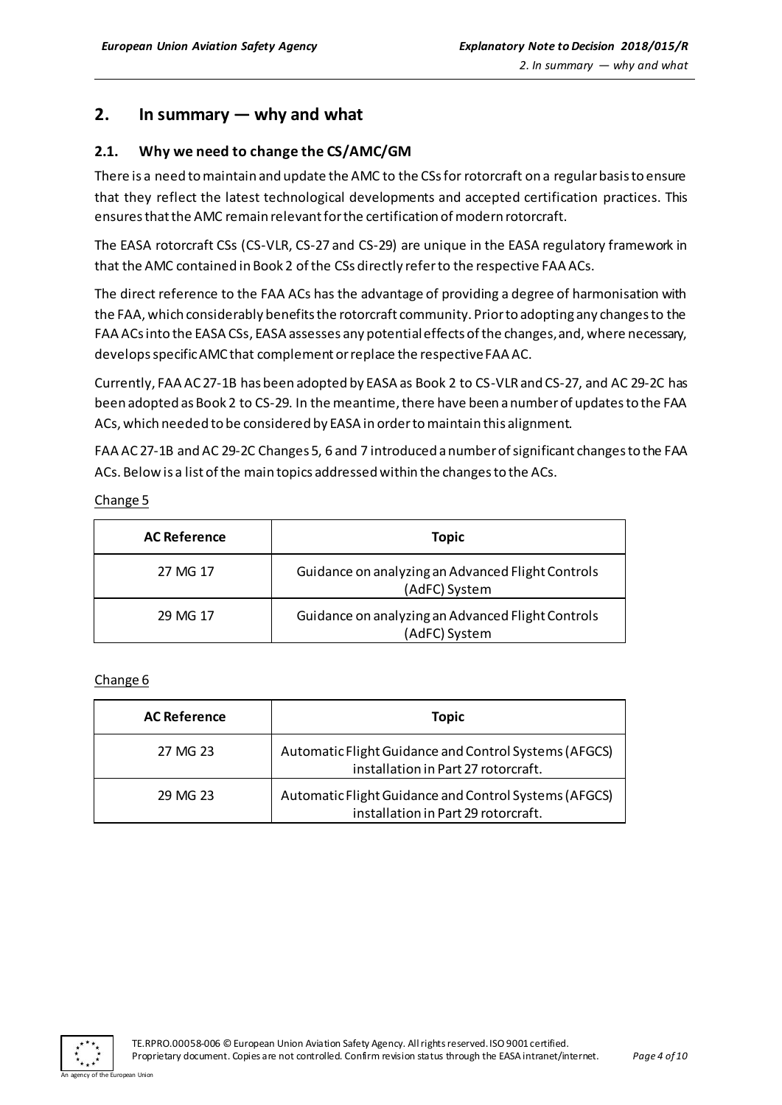## <span id="page-3-0"></span>**2. In summary — why and what**

#### <span id="page-3-1"></span>**2.1. Why we need to change the CS/AMC/GM**

There is a need to maintain and update the AMC to the CSs for rotorcraft on a regular basis to ensure that they reflect the latest technological developments and accepted certification practices. This ensures that the AMC remain relevant for the certification of modern rotorcraft.

The EASA rotorcraft CSs (CS-VLR, CS-27 and CS-29) are unique in the EASA regulatory framework in that the AMC contained in Book 2 of the CSs directly refer to the respective FAA ACs.

The direct reference to the FAA ACs has the advantage of providing a degree of harmonisation with the FAA, which considerably benefits the rotorcraft community. Prior to adopting any changes to the FAA ACs into the EASA CSs, EASA assesses any potential effects of the changes, and, where necessary, developsspecific AMC that complement or replace the respective FAA AC.

Currently, FAA AC 27-1B has been adopted by EASA as Book 2 to CS-VLR and CS-27, and AC 29-2C has been adopted as Book 2 to CS-29. In the meantime, there have been a number of updates to the FAA ACs, which needed to be considered by EASA in order to maintain this alignment.

FAA AC 27-1B and AC 29-2C Changes 5, 6 and 7 introduced a number of significant changes to the FAA ACs. Below is a list of the main topics addressed within the changes to the ACs.

Change 5

| <b>AC Reference</b> | <b>Topic</b>                                                       |
|---------------------|--------------------------------------------------------------------|
| 27 MG 17            | Guidance on analyzing an Advanced Flight Controls<br>(AdFC) System |
| 29 MG 17            | Guidance on analyzing an Advanced Flight Controls<br>(AdFC) System |

Change 6

| <b>AC Reference</b> | <b>Topic</b>                                                                                 |
|---------------------|----------------------------------------------------------------------------------------------|
| 27 MG 23            | Automatic Flight Guidance and Control Systems (AFGCS)<br>installation in Part 27 rotorcraft. |
| 29 MG 23            | Automatic Flight Guidance and Control Systems (AFGCS)<br>installation in Part 29 rotorcraft. |

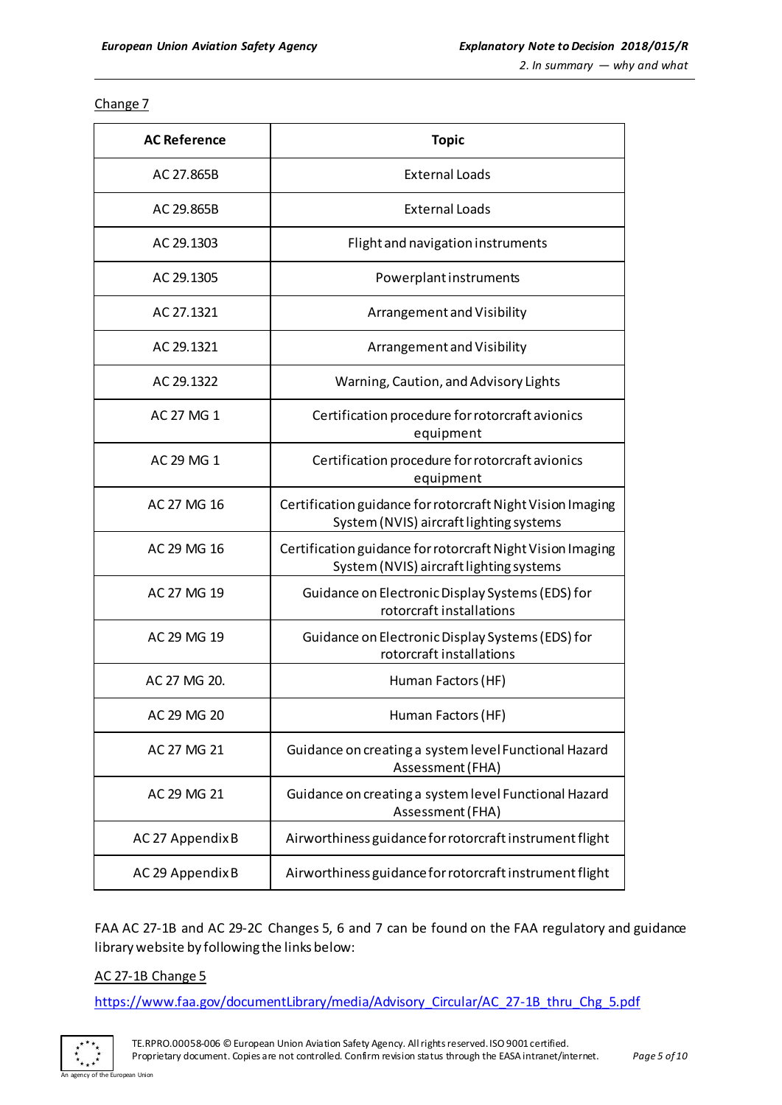Change 7

| <b>AC Reference</b> | <b>Topic</b>                                                                                          |
|---------------------|-------------------------------------------------------------------------------------------------------|
| AC 27.865B          | <b>External Loads</b>                                                                                 |
| AC 29.865B          | <b>External Loads</b>                                                                                 |
| AC 29.1303          | Flight and navigation instruments                                                                     |
| AC 29.1305          | Powerplant instruments                                                                                |
| AC 27.1321          | Arrangement and Visibility                                                                            |
| AC 29.1321          | Arrangement and Visibility                                                                            |
| AC 29.1322          | Warning, Caution, and Advisory Lights                                                                 |
| AC 27 MG 1          | Certification procedure for rotorcraft avionics<br>equipment                                          |
| AC 29 MG 1          | Certification procedure for rotorcraft avionics<br>equipment                                          |
| AC 27 MG 16         | Certification guidance for rotorcraft Night Vision Imaging<br>System (NVIS) aircraft lighting systems |
| AC 29 MG 16         | Certification guidance for rotorcraft Night Vision Imaging<br>System (NVIS) aircraft lighting systems |
| AC 27 MG 19         | Guidance on Electronic Display Systems (EDS) for<br>rotorcraft installations                          |
| AC 29 MG 19         | Guidance on Electronic Display Systems (EDS) for<br>rotorcraft installations                          |
| AC 27 MG 20.        | Human Factors (HF)                                                                                    |
| AC 29 MG 20         | Human Factors (HF)                                                                                    |
| AC 27 MG 21         | Guidance on creating a system level Functional Hazard<br>Assessment (FHA)                             |
| AC 29 MG 21         | Guidance on creating a system level Functional Hazard<br>Assessment (FHA)                             |
| AC 27 Appendix B    | Airworthiness guidance for rotorcraft instrument flight                                               |
| AC 29 Appendix B    | Airworthiness guidance for rotorcraft instrument flight                                               |

FAA AC 27-1B and AC 29-2C Changes 5, 6 and 7 can be found on the FAA regulatory and guidance library website by following the links below:

#### AC 27-1B Change 5

an Union

[https://www.faa.gov/documentLibrary/media/Advisory\\_Circular/AC\\_27-1B\\_thru\\_Chg\\_5.pdf](https://www.faa.gov/documentLibrary/media/Advisory_Circular/AC_27-1B_thru_Chg_5.pdf)

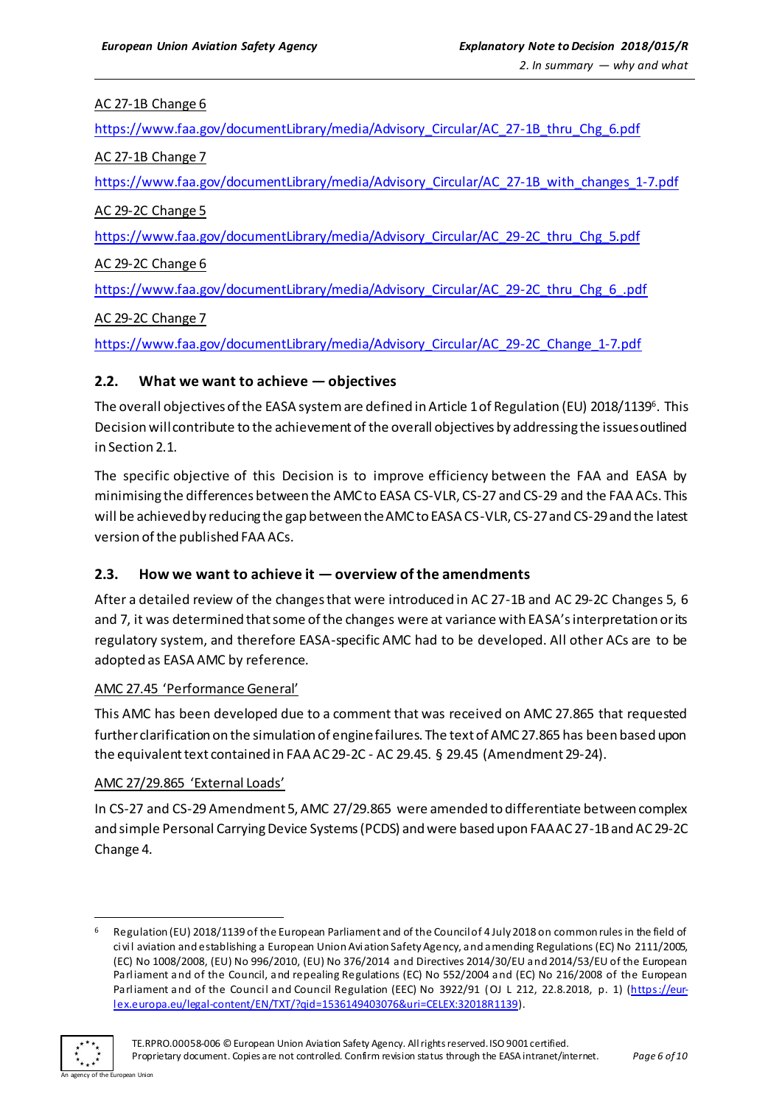#### AC 27-1B Change 6

[https://www.faa.gov/documentLibrary/media/Advisory\\_Circular/AC\\_27-1B\\_thru\\_Chg\\_6.pdf](https://www.faa.gov/documentLibrary/media/Advisory_Circular/AC_27-1B_thru_Chg_6.pdf)

AC 27-1B Change 7

[https://www.faa.gov/documentLibrary/media/Advisory\\_Circular/AC\\_27-1B\\_with\\_changes\\_1-7.pdf](https://www.faa.gov/documentLibrary/media/Advisory_Circular/AC_27-1B_with_changes_1-7.pdf)

AC 29-2C Change 5

[https://www.faa.gov/documentLibrary/media/Advisory\\_Circular/AC\\_29-2C\\_thru\\_Chg\\_5.pdf](https://www.faa.gov/documentLibrary/media/Advisory_Circular/AC_29-2C_thru_Chg_5.pdf)

AC 29-2C Change 6

[https://www.faa.gov/documentLibrary/media/Advisory\\_Circular/AC\\_29-2C\\_thru\\_Chg\\_6\\_.pdf](https://www.faa.gov/documentLibrary/media/Advisory_Circular/AC_29-2C_thru_Chg_6_.pdf)

AC 29-2C Change 7

[https://www.faa.gov/documentLibrary/media/Advisory\\_Circular/AC\\_29-2C\\_Change\\_1-7.pdf](https://www.faa.gov/documentLibrary/media/Advisory_Circular/AC_29-2C_Change_1-7.pdf)

#### <span id="page-5-0"></span>**2.2. What we want to achieve — objectives**

The overall objectives of the EASA system are defined in Article 1 of Regulation (EU) 2018/1139 $^{\rm 6}$ . This Decision will contribute to the achievement of the overall objectives by addressing the issues outlined in Section 2.1.

The specific objective of this Decision is to improve efficiency between the FAA and EASA by minimising the differences between the AMC to EASA CS-VLR, CS-27 and CS-29 and the FAA ACs. This will be achieved by reducing the gap between the AMC to EASA CS-VLR, CS-27 and CS-29 and the latest version of the published FAA ACs.

#### <span id="page-5-1"></span>**2.3. How we want to achieve it — overview of the amendments**

After a detailed review of the changes that were introduced in AC 27-1B and AC 29-2C Changes 5, 6 and 7, it was determined that some of the changes were at variance with EASA's interpretation or its regulatory system, and therefore EASA-specific AMC had to be developed. All other ACs are to be adopted as EASA AMC by reference.

#### AMC 27.45 'Performance General'

This AMC has been developed due to a comment that was received on AMC 27.865 that requested further clarification on the simulation of engine failures. The text of AMC 27.865 has been based upon the equivalent text contained in FAA AC 29-2C - AC 29.45. § 29.45 (Amendment 29-24).

#### AMC 27/29.865 'External Loads'

In CS-27 and CS-29 Amendment 5, AMC 27/29.865 were amended to differentiate between complex and simple Personal Carrying Device Systems (PCDS) and were based upon FAA AC 27-1B and AC 29-2C Change 4.

<sup>6</sup> Regulation (EU) 2018/1139 of the European Parliament and of the Council of 4 July 2018 on common rules in the field of civil aviation and establishing a European Union Aviation Safety Agency, and amending Regulations (EC) No 2111/2005, (EC) No 1008/2008, (EU) No 996/2010, (EU) No 376/2014 and Directives 2014/30/EU and 2014/53/EU of the European Parliament and of the Council, and repealing Regulations (EC) No 552/2004 and (EC) No 216/2008 of the European Parliament and of the Council and Council Regulation (EEC) No 3922/91 (OJ L 212, 22.8.2018, p. 1) [\(https://eur](https://eur-lex.europa.eu/legal-content/EN/TXT/?qid=1536149403076&uri=CELEX:32018R1139)[lex.europa.eu/legal-content/EN/TXT/?qid=1536149403076&uri=CELEX:32018R1139](https://eur-lex.europa.eu/legal-content/EN/TXT/?qid=1536149403076&uri=CELEX:32018R1139)).



 $\overline{a}$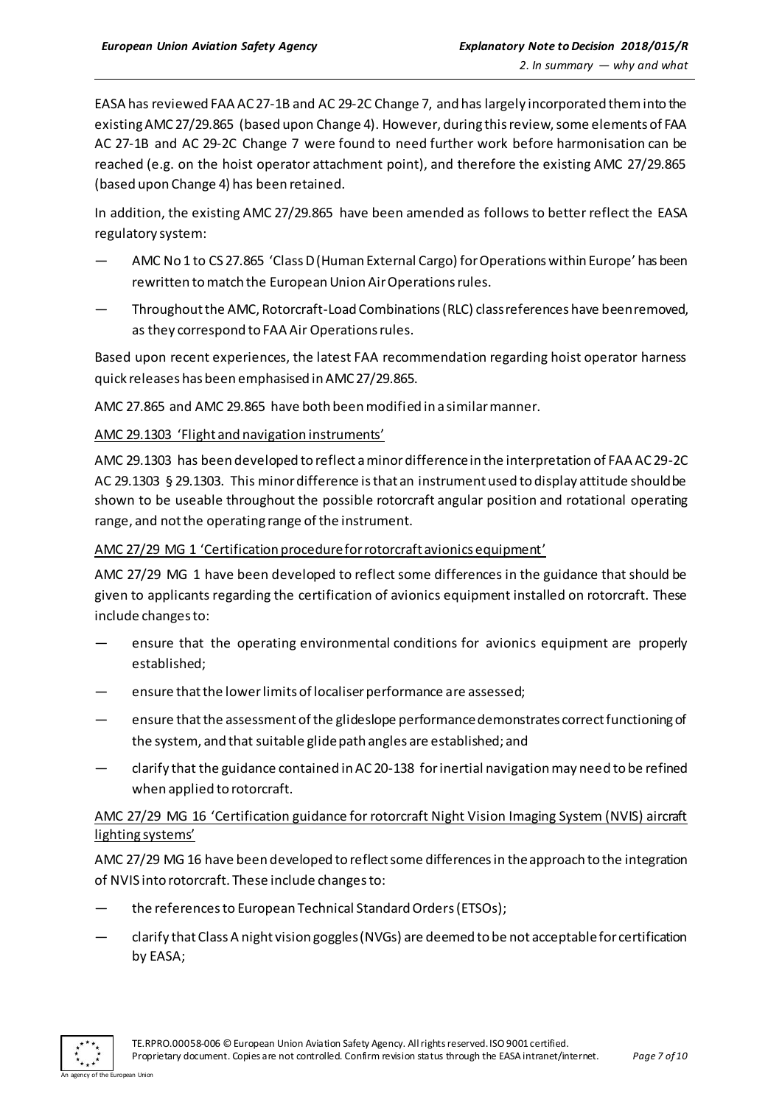EASA has reviewed FAA AC 27-1B and AC 29-2C Change 7, and has largely incorporated them into the existing AMC 27/29.865 (based upon Change 4). However, during this review, some elements of FAA AC 27-1B and AC 29-2C Change 7 were found to need further work before harmonisation can be reached (e.g. on the hoist operator attachment point), and therefore the existing AMC 27/29.865 (based upon Change 4) has been retained.

In addition, the existing AMC 27/29.865 have been amended as follows to better reflect the EASA regulatory system:

- AMC No 1 to CS 27.865 'Class D (Human External Cargo) for Operations within Europe' has been rewritten to match the European Union Air Operations rules.
- Throughout the AMC, Rotorcraft-Load Combinations (RLC) class references have been removed, as they correspond to FAA Air Operations rules.

Based upon recent experiences, the latest FAA recommendation regarding hoist operator harness quick releases has been emphasised in AMC 27/29.865.

AMC 27.865 and AMC 29.865 have both been modified in a similar manner.

AMC 29.1303 'Flight and navigation instruments'

AMC 29.1303 has been developed to reflect a minor difference in the interpretation of FAA AC 29-2C AC 29.1303 § 29.1303. This minor difference is that an instrument used to display attitude should be shown to be useable throughout the possible rotorcraft angular position and rotational operating range, and not the operating range of the instrument.

AMC 27/29 MG 1 'Certification procedure for rotorcraft avionics equipment'

AMC 27/29 MG 1 have been developed to reflect some differences in the guidance that should be given to applicants regarding the certification of avionics equipment installed on rotorcraft. These include changes to:

- ensure that the operating environmental conditions for avionics equipment are properly established;
- ensure that the lower limits of localiser performance are assessed;
- ensure that the assessment of the glideslope performance demonstrates correct functioning of the system, and that suitable glide path angles are established; and
- clarify that the guidance contained in AC 20-138 for inertial navigation may need to be refined when applied to rotorcraft.

#### AMC 27/29 MG 16 'Certification guidance for rotorcraft Night Vision Imaging System (NVIS) aircraft lighting systems'

AMC 27/29 MG 16 have been developed to reflect some differences in the approach to the integration of NVIS into rotorcraft. These include changes to:

- the references to European Technical Standard Orders (ETSOs);
- clarify that Class A night vision goggles(NVGs) are deemed to be not acceptable for certification by EASA;

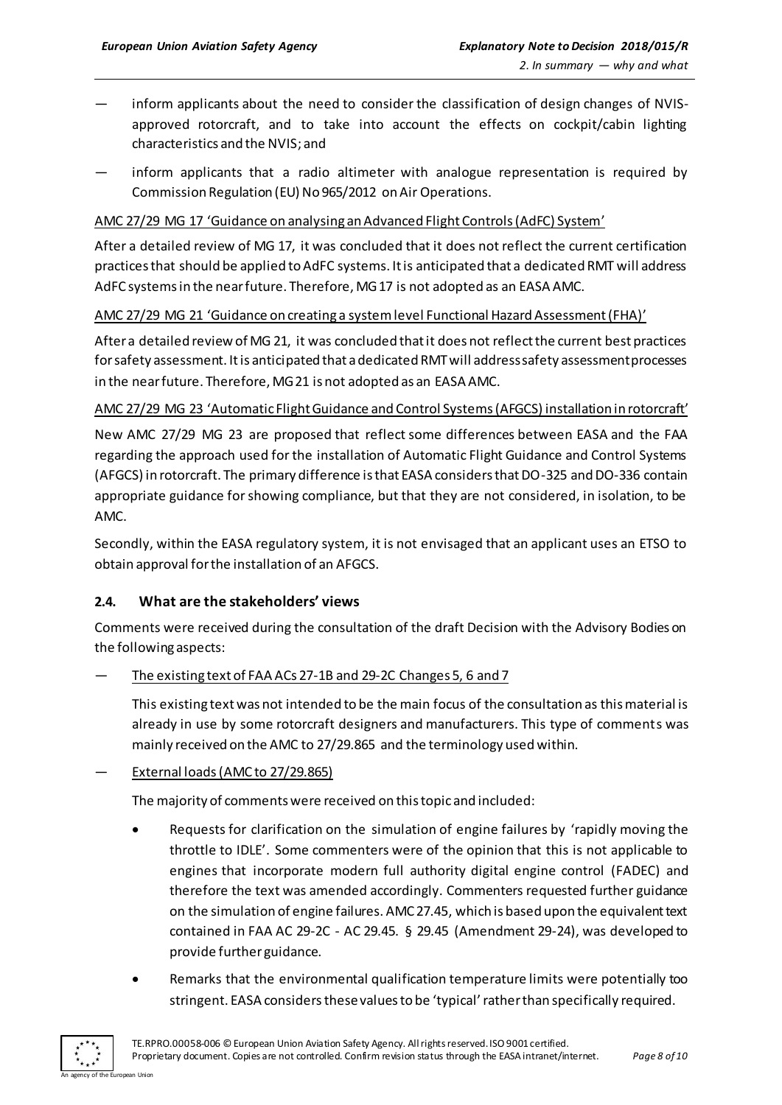- inform applicants about the need to consider the classification of design changes of NVISapproved rotorcraft, and to take into account the effects on cockpit/cabin lighting characteristics and the NVIS; and
- inform applicants that a radio altimeter with analogue representation is required by Commission Regulation (EU) No 965/2012 on Air Operations.

#### AMC 27/29 MG 17 'Guidance on analysing an Advanced Flight Controls (AdFC) System'

After a detailed review of MG 17, it was concluded that it does not reflect the current certification practices that should be applied to AdFC systems. It is anticipated that a dedicated RMT will address AdFC systems in the near future. Therefore, MG 17 is not adopted as an EASA AMC.

#### AMC 27/29 MG 21 'Guidance on creating a system level Functional Hazard Assessment (FHA)'

After a detailed review of MG 21, it was concluded that it does not reflect the current best practices for safety assessment. It is anticipated that a dedicated RMT will address safety assessment processes in the near future. Therefore, MG 21 is not adopted as an EASA AMC.

#### AMC 27/29 MG 23 'Automatic Flight Guidance and Control Systems (AFGCS) installation in rotorcraft'

New AMC 27/29 MG 23 are proposed that reflect some differences between EASA and the FAA regarding the approach used for the installation of Automatic Flight Guidance and Control Systems (AFGCS) in rotorcraft. The primary difference is that EASA considers that DO-325 and DO-336 contain appropriate guidance for showing compliance, but that they are not considered, in isolation, to be AMC.

Secondly, within the EASA regulatory system, it is not envisaged that an applicant uses an ETSO to obtain approval for the installation of an AFGCS.

#### <span id="page-7-0"></span>**2.4. What are the stakeholders' views**

Comments were received during the consultation of the draft Decision with the Advisory Bodies on the following aspects:

#### The existing text of FAA ACs 27-1B and 29-2C Changes 5, 6 and 7

This existing text was not intended to be the main focus of the consultation as this material is already in use by some rotorcraft designers and manufacturers. This type of comments was mainly received on the AMC to 27/29.865 and the terminology used within.

#### External loads (AMC to 27/29.865)

The majority of comments were received on this topic and included:

- Requests for clarification on the simulation of engine failures by 'rapidly moving the throttle to IDLE'. Some commenters were of the opinion that this is not applicable to engines that incorporate modern full authority digital engine control (FADEC) and therefore the text was amended accordingly. Commenters requested further guidance on the simulation of engine failures. AMC 27.45, which is based upon the equivalent text contained in FAA AC 29-2C - AC 29.45. § 29.45 (Amendment 29-24), was developed to provide further guidance.
- Remarks that the environmental qualification temperature limits were potentially too stringent. EASA considers these values to be 'typical' rather than specifically required.

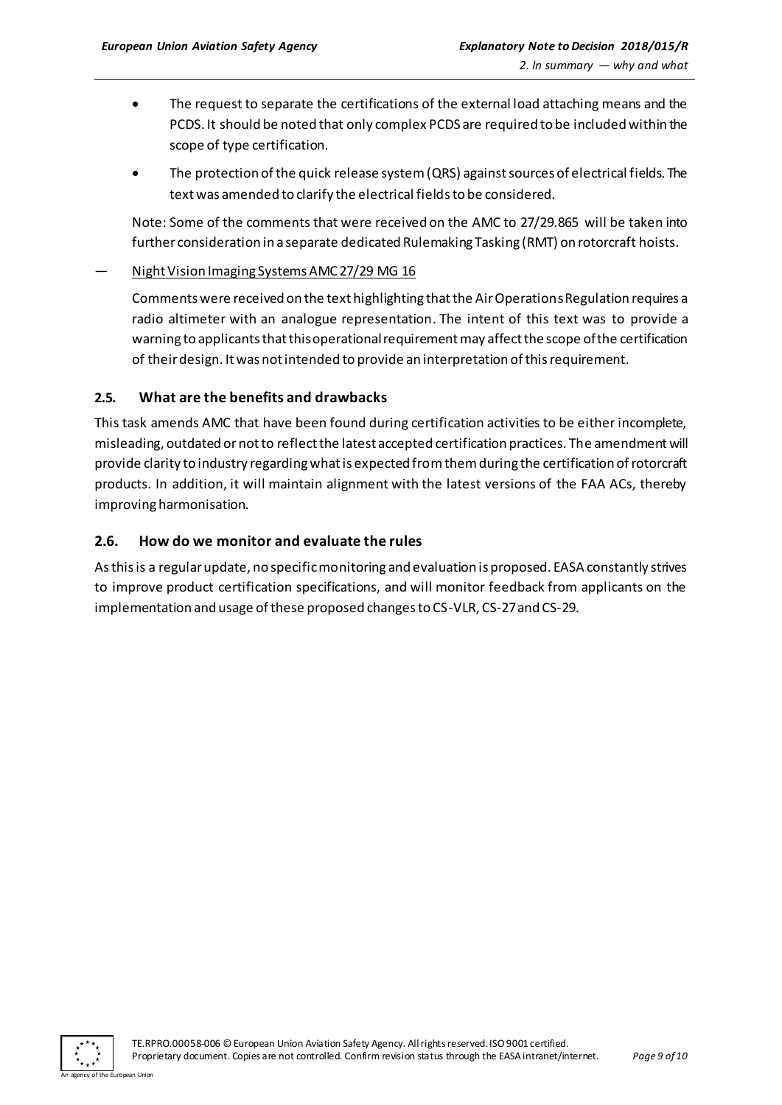- The request to separate the certifications of the external load attaching means and the PCDS. It should be noted that only complex PCDS are required to be included within the scope of type certification.
- The protection of the quick release system (QRS) against sources of electrical fields. The text was amended to clarify the electrical fieldsto be considered.

Note: Some of the comments that were received on the AMC to 27/29.865 will be taken into further consideration in a separate dedicated Rulemaking Tasking (RMT) on rotorcraft hoists.

#### — Night Vision Imaging Systems AMC 27/29 MG 16

Comments were received on the text highlighting that the Air OperationsRegulation requires a radio altimeter with an analogue representation. The intent of this text was to provide a warning to applicants that this operational requirement may affect the scope of the certification of their design. It was not intended to provide an interpretation of this requirement.

#### <span id="page-8-0"></span>**2.5. What are the benefits and drawbacks**

This task amends AMC that have been found during certification activities to be either incomplete, misleading, outdated or not to reflect the latest accepted certification practices. The amendment will provide clarity to industry regarding what is expected from them during the certification of rotorcraft products. In addition, it will maintain alignment with the latest versions of the FAA ACs, thereby improving harmonisation.

#### <span id="page-8-1"></span>**2.6. How do we monitor and evaluate the rules**

As this is a regular update, no specific monitoring and evaluation is proposed. EASA constantly strives to improve product certification specifications, and will monitor feedback from applicants on the implementation and usage of these proposed changes to CS-VLR, CS-27 and CS-29.